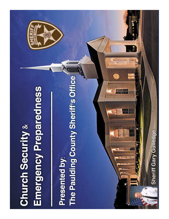# **Emergency Preparedness Church Security &**

The Paulding County Sheriff's Office Presented by:

Sheriff Gary Gulledge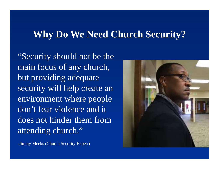#### **Why Do We Need Church Security?**

"Security should not be the main focus of any church, but providing adequate security will help create an environment where people don't fear violence and it does not hinder them from attending church."



-Jimmy Meeks (Church Security Expert)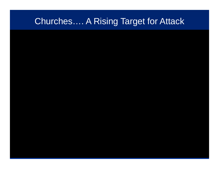#### Churches…. A Rising Target for Attack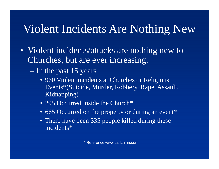## Violent Incidents Are Nothing New

- Violent incidents/attacks are nothing new to Churches, but are ever increasing.
	- In the past 15 years
		- 960 Violent incidents at Churches or Religious Events\*(Suicide, Murder, Robbery, Rape, Assault, Kidnapping)
		- 295 Occurred inside the Church\*
		- 665 Occurred on the property or during an event\*
		- There have been 335 people killed during these incidents\*

\* Reference www.carlchinn.com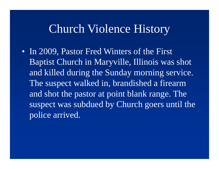#### Church Violence History

• In 2009, Pastor Fred Winters of the First Baptist Church in Maryville, Illinois was shot and killed during the Sunday morning service. The suspect walked in, brandished a firearm and shot the pastor at point blank range. The suspect was subdued by Church goers until the police arrived.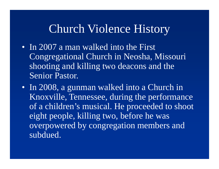#### Church Violence History

- In 2007 a man walked into the First Congregational Church in Neosha, Missouri shooting and killing two deacons and the Senior Pastor.
- In 2008, a gunman walked into a Church in Knoxville, Tennessee, during the performance of a children's musical. He proceeded to shoot eight people, killing two, before he was overpowered by congregation members and subdued.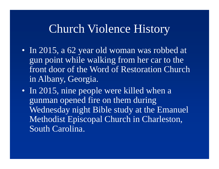#### Church Violence History

- In 2015, a 62 year old woman was robbed at gun point while walking from her car to the front door of the Word of Restoration Church in Albany, Georgia.
- In 2015, nine people were killed when a gunman opened fire on them during Wednesday night Bible study at the Emanuel Methodist Episcopal Church in Charleston, South Carolina.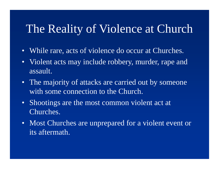## The Reality of Violence at Church

- While rare, acts of violence do occur at Churches.
- Violent acts may include robbery, murder, rape andassault.
- The majority of attacks are carried out by someonewith some connection to the Church.
- Shootings are the most common violent act at Churches.
- Most Churches are unprepared for a violent event or its aftermath.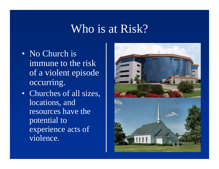#### Who is at Risk?

- No Church is immune to the risk of a violent episode occurring.
- Churches of all sizes, locations, and resources have the potential to experience acts of violence.

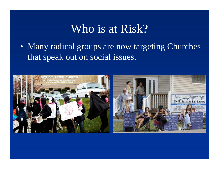#### Who is at Risk?

• Many radical groups are now targeting Churches that speak out on social issues.

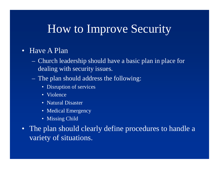#### How to Improve Security

#### • Have A Plan

- <del>La Carlo Carlo Carlo Carlo</del> Church leadership should have a basic plan in place for dealing with security issues.
- <del>La Carlo Carlo Carlo Carlo</del> The plan should address the following:
	- Disruption of services
	- Violence
	- Natural Disaster
	- Medical Emergency
	- Missing Child
- The plan should clearly define procedures to handle a variety of situations.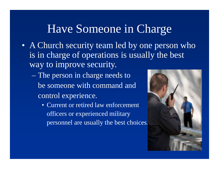### Have Someone in Charge

- A Church security team led by one person who is in charge of operations is usually the best way to improve security.
	- The person in charge needs tobe someone with command and control experience.
		- Current or retired law enforcementofficers or experienced military personnel are usually the best choices.

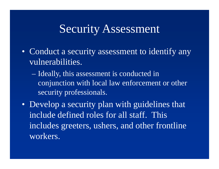#### Security Assessment

- Conduct a security assessment to identify any vulnerabilities.
	- Ideally, this assessment is conducted in conjunction with local law enforcement or other security professionals.
- Develop a security plan with guidelines that include defined roles for all staff. This includes greeters, ushers, and other frontline workers.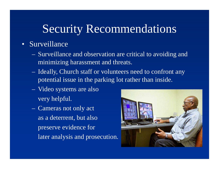#### • Surveillance

- <u>– Listo Listo Listo Listo Listo Listo Listo Listo Listo Listo Listo Listo Listo Listo Listo Listo Listo Listo </u> Surveillance and observation are critical to avoiding and minimizing harassment and threats.
- <del>La Carlo Carlo Carlo Carlo</del> Ideally, Church staff or volunteers need to confront any potential issue in the parking lot rather than inside.
- <u>– Liberator Angelski, politik a po</u> Video systems are alsovery helpful.
- $\mathcal{L}_{\mathcal{A}}$  Cameras not only actas a deterrent, but also preserve evidence for later analysis and prosecution.

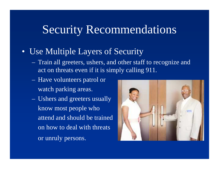#### • Use Multiple Layers of Security

- $\sim$  Train all greeters, ushers, and other staff to recognize and act on threats even if it is simply calling 911.
- $\sim$  Have volunteers patrol orwatch parking areas.
- **London Maria Barbara**  Ushers and greeters usuallyknow most people whoattend and should be trainedon how to deal with threatsor unruly persons.

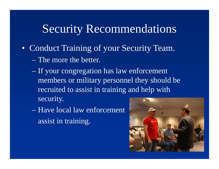- Conduct Training of your Security Team.
	- The more the better.
	- If your congregation has law enforcement members or military personnel they should be recruited to assist in training and help with security.
	- Have local law enforcementassist in training.

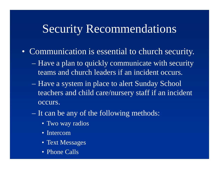- Communication is essential to church security.
	- Have a plan to quickly communicate with security teams and church leaders if an incident occurs.
	- Have a system in place to alert Sunday School teachers and child care/nursery staff if an incident occurs.
	- It can be any of the following methods:
		- Two way radios
		- Intercom
		- Text Messages
		- Phone Calls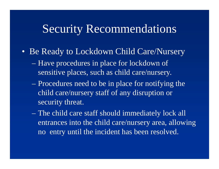- Be Ready to Lockdown Child Care/Nursery
	- Have procedures in place for lockdown of sensitive places, such as child care/nursery.
	- Procedures need to be in place for notifying the child care/nursery staff of any disruption or security threat.
	- The child care staff should immediately lock all entrances into the child care/nursery area, allowing no entry until the incident has been resolved.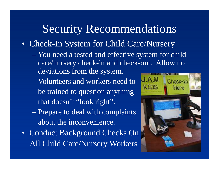- Check-In System for Child Care/Nursery
	- You need a tested and effective system for child care/nursery check-in and check-out. Allow no deviations from the system.
	- Volunteers and workers need tobe trained to question anythingthat doesn't "look right".
	- Prepare to deal with complaintsabout the inconvenience.
- Conduct Background Checks OnAll Child Care/Nursery Workers

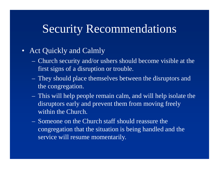#### • Act Quickly and Calmly

- <del>La Carlo Carlo Carlo Carlo</del> Church security and/or ushers should become visible at the first signs of a disruption or trouble.
- <del>La Carlo Carlo Carlo Carlo</del> They should place themselves between the disruptors and the congregation.
- <u>– Listo Listo Listo Listo Listo Listo Listo Listo Listo Listo Listo Listo Listo Listo Listo Listo Listo Listo </u> This will help people remain calm, and will help isolate the disruptors early and prevent them from moving freely within the Church.
- $\sim$  Someone on the Church staff should reassure the congregation that the situation is being handled and the service will resume momentarily.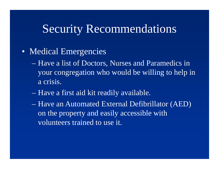- Medical Emergencies
	- Have a list of Doctors, Nurses and Paramedics in your congregation who would be willing to help in a crisis.
	- Have a first aid kit readily available.
	- Have an Automated External Defibrillator (AED) on the property and easily accessible with volunteers trained to use it.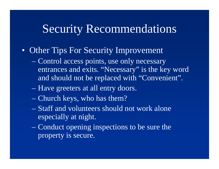#### • Other Tips For Security Improvement

- Control access points, use only necessary entrances and exits. "Necessary" is the key word and should not be replaced with "Convenient".
- Have greeters at all entry doors.
- Church keys, who has them?
- Staff and volunteers should not work alone especially at night.
- Conduct opening inspections to be sure the property is secure.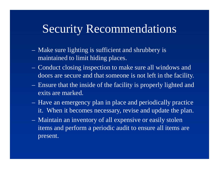- <u>– Listo Listo Listo Listo Listo Listo Listo Listo Listo Listo Listo Listo Listo Listo Listo Listo Listo Listo </u> Make sure lighting is sufficient and shrubbery is maintained to limit hiding places.
- <del>katalog katalog a</del> Conduct closing inspection to make sure all windows and doors are secure and that someone is not left in the facility.
- <u>– Liberator Angelski, politik a po</u> Ensure that the inside of the facility is properly lighted and exits are marked.
- **London Maria Barbara**  Have an emergency plan in place and periodically practice it. When it becomes necessary, revise and update the plan.
- **London Maria Barbara**  Maintain an inventory of all expensive or easily stolen items and perform a periodic audit to ensure all items are present.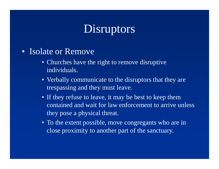## Disruptors

- Isolate or Remove
	- Churches have the right to remove disruptive individuals.
	- Verbally communicate to the disruptors that they are trespassing and they must leave.
	- If they refuse to leave, it may be best to keep them contained and wait for law enforcement to arrive unless they pose a physical threat.
	- To the extent possible, move congregants who are in close proximity to another part of the sanctuary.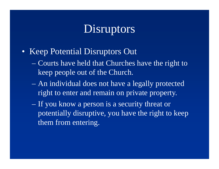## Disruptors

- Keep Potential Disruptors Out
	- Courts have held that Churches have the right to keep people out of the Church.
	- An individual does not have a legally protected right to enter and remain on private property.
	- If you know a person is a security threat or potentially disruptive, you have the right to keep them from entering.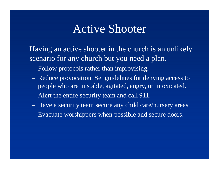#### Active Shooter

Having an active shooter in the church is an unlikely scenario for any church but you need a plan.

- $\sim$ Follow protocols rather than improvising.
- $\sim$  Reduce provocation. Set guidelines for denying access to people who are unstable, agitated, angry, or intoxicated.
- $\sim$ Alert the entire security team and call 911.
- <u>– Listo Listo Listo Listo Listo Listo Listo Listo Listo Listo Listo Listo Listo Listo Listo Listo Listo Listo </u> Have a security team secure any child care/nursery areas.
- **London Maria Barbara** Evacuate worshippers when possible and secure doors.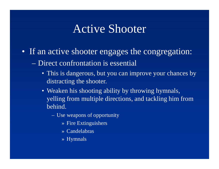#### Active Shooter

- If an active shooter engages the congregation:
	- Direct confrontation is essential
		- This is dangerous, but you can improve your chances by distracting the shooter.
		- Weaken his shooting ability by throwing hymnals, yelling from multiple directions, and tackling him from behind.
			- Use weapons of opportunity
				- » Fire Extinguishers
				- » Candelabras
				- » Hymnals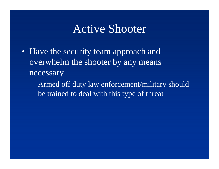#### Active Shooter

- Have the security team approach and overwhelm the shooter by any means necessary
	- Armed off duty law enforcement/military should be trained to deal with this type of threat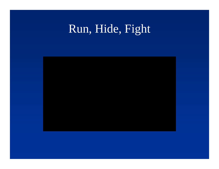# Run, Hide, Fight

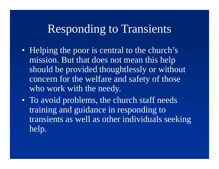#### Responding to Transients

- Helping the poor is central to the church's mission. But that does not mean this help should be provided thoughtlessly or without concern for the welfare and safety of those who work with the needy.
- To avoid problems, the church staff needs training and guidance in responding to transients as well as other individuals seeking help.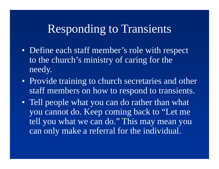#### Responding to Transients

- Define each staff member's role with respect to the church's ministry of caring for the needy.
- Provide training to church secretaries and other staff members on how to respond to transients.
- Tell people what you can do rather than what you cannot do. Keep coming back to "Let me tell you what we can do." This may mean you can only make a referral for the individual.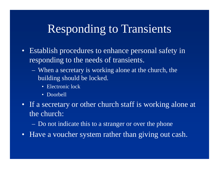## Responding to Transients

- Establish procedures to enhance personal safety inresponding to the needs of transients.
	- $\sim$  When a secretary is working alone at the church, the building should be locked.
		- Electronic lock
		- Doorbell
- If a secretary or other church staff is working alone at the church:
	- $\mathcal{L}_{\mathcal{A}}$ Do not indicate this to a stranger or over the phone
- Have a voucher system rather than giving out cash.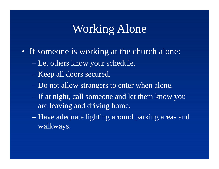## Working Alone

- If someone is working at the church alone:
	- Let others know your schedule.
	- Keep all doors secured.
	- Do not allow strangers to enter when alone.
	- If at night, call someone and let them know you are leaving and driving home.
	- Have adequate lighting around parking areas and walkways.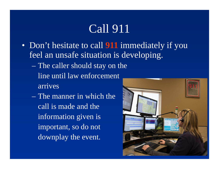# Call 911

- Don't hesitate to call **911** immediately if you feel an unsafe situation is developing.
	- The caller should stay on theline until law enforcement arrives
	- The manner in which the call is made and the information given is important, so do not downplay the event.

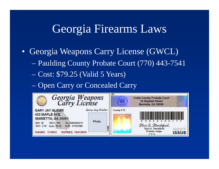## Georgia Firearms Laws

- Georgia Weapons Carry License (GWCL)
	- Paulding County Probate Court (770) 443-7541
	- Cost: \$79.25 (Valid 5 Years)
	- Open Carry or Concealed Carry

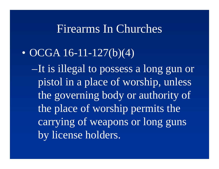#### Firearms In Churches

#### $\bullet$ OCGA 16-11-127(b)(4)

–It is illegal to possess a long gun or pistol in a place of worship, unless the governing body or authority of the place of worship permits the carrying of weapons or long guns by license holders.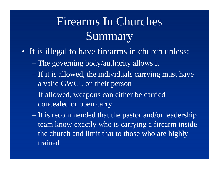# Firearms In Churches Summary

- It is illegal to have firearms in church unless:
	- The governing body/authority allows it
	- If it is allowed, the individuals carrying must have a valid GWCL on their person
	- If allowed, weapons can either be carried concealed or open carry
	- It is recommended that the pastor and/or leadership team know exactly who is carrying a firearm inside the church and limit that to those who are highly trained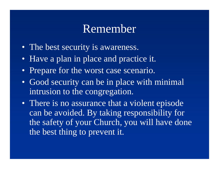#### Remember

- The best security is awareness.
- Have a plan in place and practice it.
- Prepare for the worst case scenario.
- Good security can be in place with minimal intrusion to the congregation.
- There is no assurance that a violent episode can be avoided. By taking responsibility for the safety of your Church, you will have done the best thing to prevent it.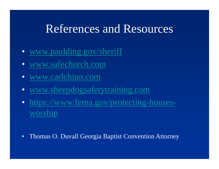#### References and Resources

- www.paulding.gov/sheriff
- •www.safechurch.com
- www.carlchinn.com •
- www.sheepdogsafetytraining.com
- https://www.fema.gov/protecting-housesworship
- $\bullet$ Thomas O. Duvall Georgia Baptist Convention Attorney